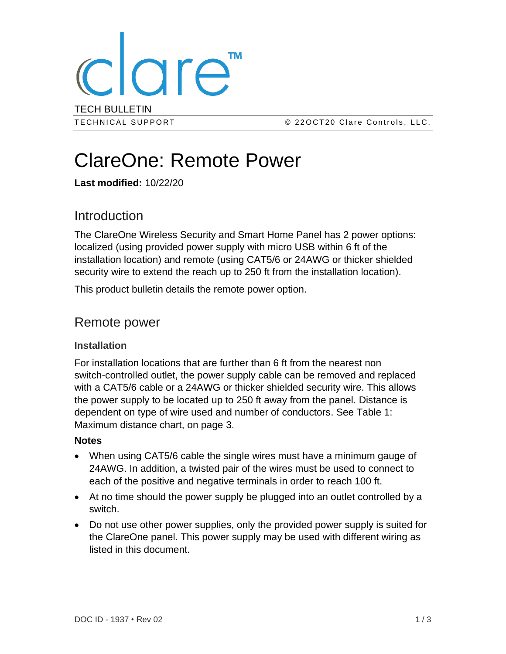

# ClareOne: Remote Power

**Last modified:** 10/22/20

## **Introduction**

The ClareOne Wireless Security and Smart Home Panel has 2 power options: localized (using provided power supply with micro USB within 6 ft of the installation location) and remote (using CAT5/6 or 24AWG or thicker shielded security wire to extend the reach up to 250 ft from the installation location).

This product bulletin details the remote power option.

### Remote power

#### **Installation**

For installation locations that are further than 6 ft from the nearest non switch-controlled outlet, the power supply cable can be removed and replaced with a CAT5/6 cable or a 24AWG or thicker shielded security wire. This allows the power supply to be located up to 250 ft away from the panel. Distance is dependent on type of wire used and number of conductors. See Table 1: Maximum distance chart, on page [3.](#page-2-0)

#### **Notes**

- When using CAT5/6 cable the single wires must have a minimum gauge of 24AWG. In addition, a twisted pair of the wires must be used to connect to each of the positive and negative terminals in order to reach 100 ft.
- At no time should the power supply be plugged into an outlet controlled by a switch.
- Do not use other power supplies, only the provided power supply is suited for the ClareOne panel. This power supply may be used with different wiring as listed in this document.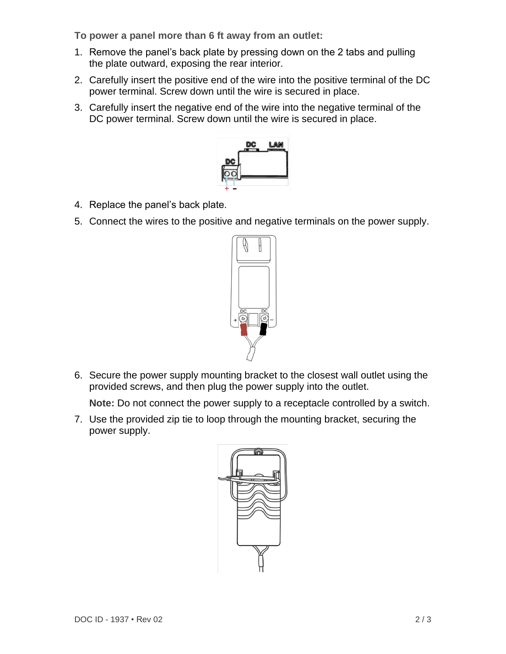**To power a panel more than 6 ft away from an outlet:** 

- 1. Remove the panel's back plate by pressing down on the 2 tabs and pulling the plate outward, exposing the rear interior.
- 2. Carefully insert the positive end of the wire into the positive terminal of the DC power terminal. Screw down until the wire is secured in place.
- 3. Carefully insert the negative end of the wire into the negative terminal of the DC power terminal. Screw down until the wire is secured in place.



- 4. Replace the panel's back plate.
- 5. Connect the wires to the positive and negative terminals on the power supply.



6. Secure the power supply mounting bracket to the closest wall outlet using the provided screws, and then plug the power supply into the outlet.

**Note:** Do not connect the power supply to a receptacle controlled by a switch.

7. Use the provided zip tie to loop through the mounting bracket, securing the power supply.